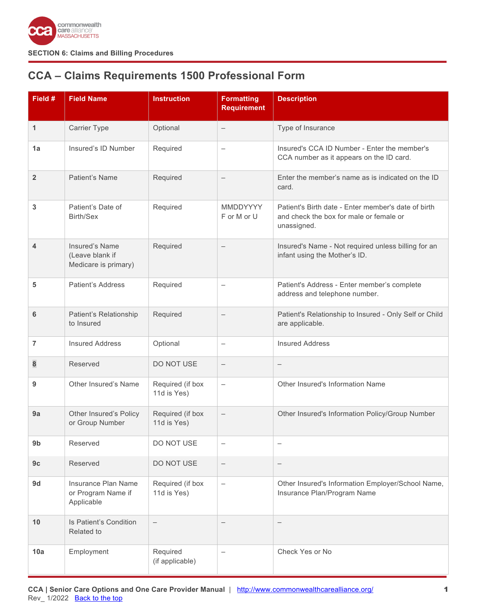

# <span id="page-0-0"></span>**CCA – Claims Requirements 1500 Professional Form**

| Field #        | <b>Field Name</b>                                         | <b>Instruction</b>              | <b>Formatting</b><br><b>Requirement</b> | <b>Description</b>                                                                                            |
|----------------|-----------------------------------------------------------|---------------------------------|-----------------------------------------|---------------------------------------------------------------------------------------------------------------|
| 1              | <b>Carrier Type</b>                                       | Optional                        | $\overline{\phantom{0}}$                | Type of Insurance                                                                                             |
| 1a             | Insured's ID Number                                       | Required                        | $\qquad \qquad -$                       | Insured's CCA ID Number - Enter the member's<br>CCA number as it appears on the ID card.                      |
| $\overline{2}$ | Patient's Name                                            | Required                        | $\overline{\phantom{0}}$                | Enter the member's name as is indicated on the ID<br>card.                                                    |
| 3              | Patient's Date of<br>Birth/Sex                            | Required                        | MMDDYYYY<br>F or M or U                 | Patient's Birth date - Enter member's date of birth<br>and check the box for male or female or<br>unassigned. |
| 4              | Insured's Name<br>(Leave blank if<br>Medicare is primary) | Required                        |                                         | Insured's Name - Not required unless billing for an<br>infant using the Mother's ID.                          |
| 5              | Patient's Address                                         | Required                        | $\qquad \qquad -$                       | Patient's Address - Enter member's complete<br>address and telephone number.                                  |
| 6              | Patient's Relationship<br>to Insured                      | Required                        |                                         | Patient's Relationship to Insured - Only Self or Child<br>are applicable.                                     |
| 7              | <b>Insured Address</b>                                    | Optional                        | $\qquad \qquad -$                       | <b>Insured Address</b>                                                                                        |
| 8              | Reserved                                                  | DO NOT USE                      | $\overline{\phantom{m}}$                | $\overline{\phantom{0}}$                                                                                      |
| 9              | Other Insured's Name                                      | Required (if box<br>11d is Yes) |                                         | Other Insured's Information Name                                                                              |
| 9a             | Other Insured's Policy<br>or Group Number                 | Required (if box<br>11d is Yes) | $\overline{\phantom{0}}$                | Other Insured's Information Policy/Group Number                                                               |
| 9b             | Reserved                                                  | DO NOT USE                      | $\qquad \qquad -$                       | $\qquad \qquad -$                                                                                             |
| 9c             | Reserved                                                  | DO NOT USE                      | $\qquad \qquad -$                       | $\qquad \qquad -$                                                                                             |
| 9d             | Insurance Plan Name<br>or Program Name if<br>Applicable   | Required (if box<br>11d is Yes) | $\qquad \qquad -$                       | Other Insured's Information Employer/School Name,<br>Insurance Plan/Program Name                              |
| 10             | Is Patient's Condition<br>Related to                      | $\overline{\phantom{m}}$        |                                         | $\qquad \qquad -$                                                                                             |
| 10a            | Employment                                                | Required<br>(if applicable)     |                                         | Check Yes or No                                                                                               |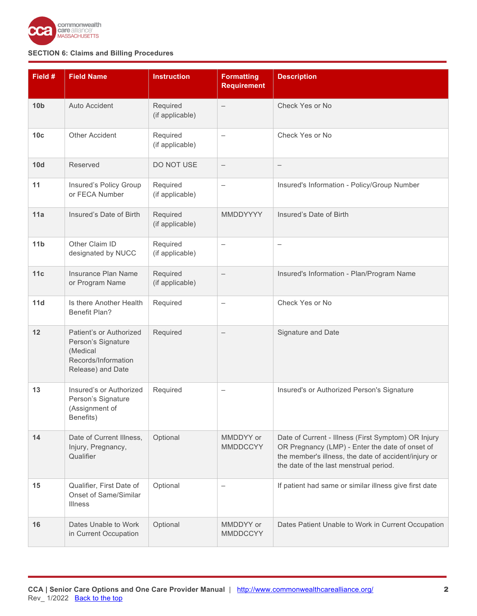

| Field #         | <b>Field Name</b>                                                                                     | <b>Instruction</b>          | <b>Formatting</b><br><b>Requirement</b> | <b>Description</b>                                                                                                                                                                                       |
|-----------------|-------------------------------------------------------------------------------------------------------|-----------------------------|-----------------------------------------|----------------------------------------------------------------------------------------------------------------------------------------------------------------------------------------------------------|
| 10 <sub>b</sub> | <b>Auto Accident</b>                                                                                  | Required<br>(if applicable) | $\overline{\phantom{m}}$                | Check Yes or No                                                                                                                                                                                          |
| 10 <sub>c</sub> | <b>Other Accident</b>                                                                                 | Required<br>(if applicable) | $\qquad \qquad -$                       | Check Yes or No                                                                                                                                                                                          |
| 10d             | Reserved                                                                                              | DO NOT USE                  | $\overline{\phantom{m}}$                | $\qquad \qquad -$                                                                                                                                                                                        |
| 11              | Insured's Policy Group<br>or FECA Number                                                              | Required<br>(if applicable) | $\qquad \qquad -$                       | Insured's Information - Policy/Group Number                                                                                                                                                              |
| 11a             | Insured's Date of Birth                                                                               | Required<br>(if applicable) | MMDDYYYY                                | Insured's Date of Birth                                                                                                                                                                                  |
| 11 <sub>b</sub> | Other Claim ID<br>designated by NUCC                                                                  | Required<br>(if applicable) | $\qquad \qquad -$                       | $\overbrace{\phantom{12322111}}$                                                                                                                                                                         |
| 11c             | Insurance Plan Name<br>or Program Name                                                                | Required<br>(if applicable) |                                         | Insured's Information - Plan/Program Name                                                                                                                                                                |
| 11d             | Is there Another Health<br><b>Benefit Plan?</b>                                                       | Required                    | $\overline{\phantom{0}}$                | Check Yes or No                                                                                                                                                                                          |
| 12              | Patient's or Authorized<br>Person's Signature<br>(Medical<br>Records/Information<br>Release) and Date | Required                    |                                         | Signature and Date                                                                                                                                                                                       |
| 13              | Insured's or Authorized<br>Person's Signature<br>(Assignment of<br>Benefits)                          | Required                    | $\qquad \qquad -$                       | Insured's or Authorized Person's Signature                                                                                                                                                               |
| 14              | Date of Current Illness,<br>Injury, Pregnancy,<br>Qualifier                                           | Optional                    | MMDDYY or<br><b>MMDDCCYY</b>            | Date of Current - Illness (First Symptom) OR Injury<br>OR Pregnancy (LMP) - Enter the date of onset of<br>the member's illness, the date of accident/injury or<br>the date of the last menstrual period. |
| 15              | Qualifier, First Date of<br><b>Onset of Same/Similar</b><br><b>Illness</b>                            | Optional                    |                                         | If patient had same or similar illness give first date                                                                                                                                                   |
| 16              | Dates Unable to Work<br>in Current Occupation                                                         | Optional                    | MMDDYY or<br><b>MMDDCCYY</b>            | Dates Patient Unable to Work in Current Occupation                                                                                                                                                       |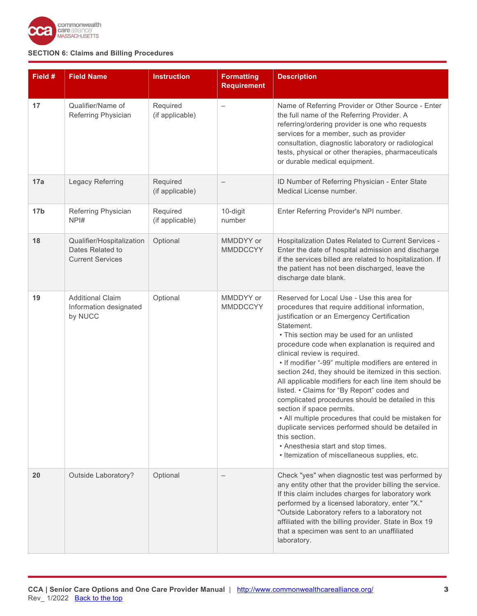

| Field #         | <b>Field Name</b>                                                        | <b>Instruction</b>          | <b>Formatting</b><br><b>Requirement</b> | <b>Description</b>                                                                                                                                                                                                                                                                                                                                                                                                                                                                                                                                                                                                                                                                                                                                                                                                           |
|-----------------|--------------------------------------------------------------------------|-----------------------------|-----------------------------------------|------------------------------------------------------------------------------------------------------------------------------------------------------------------------------------------------------------------------------------------------------------------------------------------------------------------------------------------------------------------------------------------------------------------------------------------------------------------------------------------------------------------------------------------------------------------------------------------------------------------------------------------------------------------------------------------------------------------------------------------------------------------------------------------------------------------------------|
| 17              | Qualifier/Name of<br>Referring Physician                                 | Required<br>(if applicable) | $\overline{\phantom{0}}$                | Name of Referring Provider or Other Source - Enter<br>the full name of the Referring Provider. A<br>referring/ordering provider is one who requests<br>services for a member, such as provider<br>consultation, diagnostic laboratory or radiological<br>tests, physical or other therapies, pharmaceuticals<br>or durable medical equipment.                                                                                                                                                                                                                                                                                                                                                                                                                                                                                |
| 17a             | Legacy Referring                                                         | Required<br>(if applicable) | $\qquad \qquad -$                       | ID Number of Referring Physician - Enter State<br>Medical License number.                                                                                                                                                                                                                                                                                                                                                                                                                                                                                                                                                                                                                                                                                                                                                    |
| 17 <sub>b</sub> | Referring Physician<br>NPI#                                              | Required<br>(if applicable) | 10-digit<br>number                      | Enter Referring Provider's NPI number.                                                                                                                                                                                                                                                                                                                                                                                                                                                                                                                                                                                                                                                                                                                                                                                       |
| 18              | Qualifier/Hospitalization<br>Dates Related to<br><b>Current Services</b> | Optional                    | MMDDYY or<br><b>MMDDCCYY</b>            | Hospitalization Dates Related to Current Services -<br>Enter the date of hospital admission and discharge<br>if the services billed are related to hospitalization. If<br>the patient has not been discharged, leave the<br>discharge date blank.                                                                                                                                                                                                                                                                                                                                                                                                                                                                                                                                                                            |
| 19              | <b>Additional Claim</b><br>Information designated<br>by NUCC             | Optional                    | MMDDYY or<br><b>MMDDCCYY</b>            | Reserved for Local Use - Use this area for<br>procedures that require additional information,<br>justification or an Emergency Certification<br>Statement.<br>• This section may be used for an unlisted<br>procedure code when explanation is required and<br>clinical review is required.<br>• If modifier "-99" multiple modifiers are entered in<br>section 24d, they should be itemized in this section.<br>All applicable modifiers for each line item should be<br>listed. • Claims for "By Report" codes and<br>complicated procedures should be detailed in this<br>section if space permits.<br>• All multiple procedures that could be mistaken for<br>duplicate services performed should be detailed in<br>this section.<br>• Anesthesia start and stop times.<br>• Itemization of miscellaneous supplies, etc. |
| 20              | Outside Laboratory?                                                      | Optional                    |                                         | Check "yes" when diagnostic test was performed by<br>any entity other that the provider billing the service.<br>If this claim includes charges for laboratory work<br>performed by a licensed laboratory, enter "X."<br>"Outside Laboratory refers to a laboratory not<br>affiliated with the billing provider. State in Box 19<br>that a specimen was sent to an unaffiliated<br>laboratory.                                                                                                                                                                                                                                                                                                                                                                                                                                |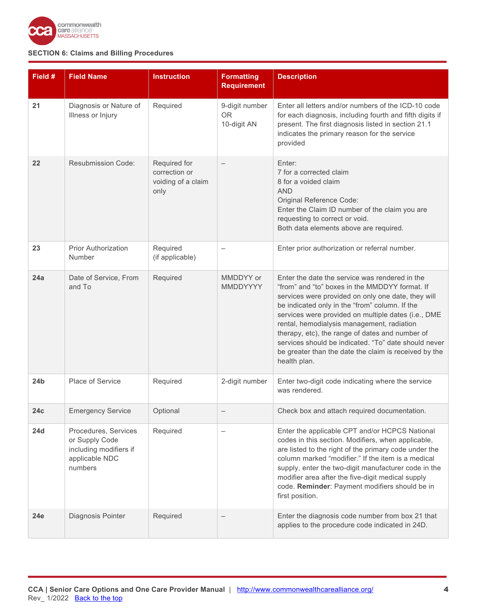

| Field #         | <b>Field Name</b>                                                                             | <b>Instruction</b>                                          | <b>Formatting</b><br><b>Requirement</b>    | <b>Description</b>                                                                                                                                                                                                                                                                                                                                                                                                                                                                                |
|-----------------|-----------------------------------------------------------------------------------------------|-------------------------------------------------------------|--------------------------------------------|---------------------------------------------------------------------------------------------------------------------------------------------------------------------------------------------------------------------------------------------------------------------------------------------------------------------------------------------------------------------------------------------------------------------------------------------------------------------------------------------------|
| 21              | Diagnosis or Nature of<br>Illness or Injury                                                   | Required                                                    | 9-digit number<br><b>OR</b><br>10-digit AN | Enter all letters and/or numbers of the ICD-10 code<br>for each diagnosis, including fourth and fifth digits if<br>present. The first diagnosis listed in section 21.1<br>indicates the primary reason for the service<br>provided                                                                                                                                                                                                                                                                |
| 22              | <b>Resubmission Code:</b>                                                                     | Required for<br>correction or<br>voiding of a claim<br>only |                                            | Enter:<br>7 for a corrected claim<br>8 for a voided claim<br><b>AND</b><br>Original Reference Code:<br>Enter the Claim ID number of the claim you are<br>requesting to correct or void.<br>Both data elements above are required.                                                                                                                                                                                                                                                                 |
| 23              | <b>Prior Authorization</b><br>Number                                                          | Required<br>(if applicable)                                 |                                            | Enter prior authorization or referral number.                                                                                                                                                                                                                                                                                                                                                                                                                                                     |
| 24a             | Date of Service, From<br>and To                                                               | Required                                                    | MMDDYY or<br>MMDDYYYY                      | Enter the date the service was rendered in the<br>"from" and "to" boxes in the MMDDYY format. If<br>services were provided on only one date, they will<br>be indicated only in the "from" column. If the<br>services were provided on multiple dates (i.e., DME<br>rental, hemodialysis management, radiation<br>therapy, etc), the range of dates and number of<br>services should be indicated. "To" date should never<br>be greater than the date the claim is received by the<br>health plan. |
| 24 <sub>b</sub> | Place of Service                                                                              | Required                                                    | 2-digit number                             | Enter two-digit code indicating where the service<br>was rendered.                                                                                                                                                                                                                                                                                                                                                                                                                                |
| 24c             | <b>Emergency Service</b>                                                                      | Optional                                                    |                                            | Check box and attach required documentation.                                                                                                                                                                                                                                                                                                                                                                                                                                                      |
| <b>24d</b>      | Procedures, Services<br>or Supply Code<br>including modifiers if<br>applicable NDC<br>numbers | Required                                                    |                                            | Enter the applicable CPT and/or HCPCS National<br>codes in this section. Modifiers, when applicable,<br>are listed to the right of the primary code under the<br>column marked "modifier." If the item is a medical<br>supply, enter the two-digit manufacturer code in the<br>modifier area after the five-digit medical supply<br>code. Reminder: Payment modifiers should be in<br>first position.                                                                                             |
| 24e             | Diagnosis Pointer                                                                             | Required                                                    |                                            | Enter the diagnosis code number from box 21 that<br>applies to the procedure code indicated in 24D.                                                                                                                                                                                                                                                                                                                                                                                               |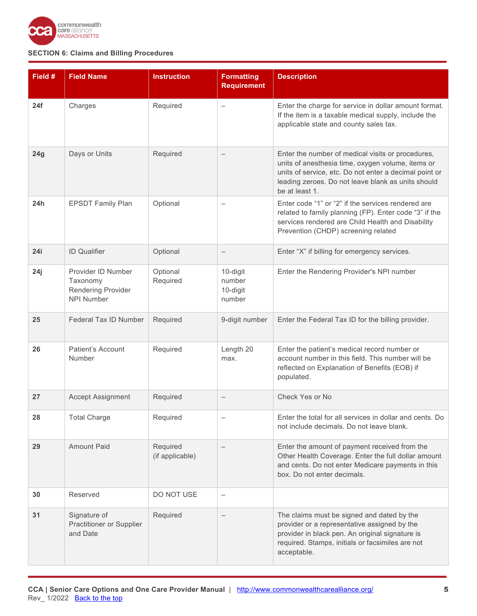

| Field # | <b>Field Name</b>                                                         | <b>Instruction</b>          | <b>Formatting</b><br><b>Requirement</b>  | <b>Description</b>                                                                                                                                                                                                                       |
|---------|---------------------------------------------------------------------------|-----------------------------|------------------------------------------|------------------------------------------------------------------------------------------------------------------------------------------------------------------------------------------------------------------------------------------|
| 24f     | Charges                                                                   | Required                    |                                          | Enter the charge for service in dollar amount format.<br>If the item is a taxable medical supply, include the<br>applicable state and county sales tax.                                                                                  |
| 24g     | Days or Units                                                             | Required                    | $\qquad \qquad -$                        | Enter the number of medical visits or procedures,<br>units of anesthesia time, oxygen volume, items or<br>units of service, etc. Do not enter a decimal point or<br>leading zeroes. Do not leave blank as units should<br>be at least 1. |
| 24h     | <b>EPSDT Family Plan</b>                                                  | Optional                    |                                          | Enter code "1" or "2" if the services rendered are<br>related to family planning (FP). Enter code "3" if the<br>services rendered are Child Health and Disability<br>Prevention (CHDP) screening related                                 |
| 24i     | <b>ID</b> Qualifier                                                       | Optional                    | $\qquad \qquad -$                        | Enter "X" if billing for emergency services.                                                                                                                                                                                             |
| 24j     | Provider ID Number<br>Taxonomy<br>Rendering Provider<br><b>NPI Number</b> | Optional<br>Required        | 10-digit<br>number<br>10-digit<br>number | Enter the Rendering Provider's NPI number                                                                                                                                                                                                |
| 25      | Federal Tax ID Number                                                     | Required                    | 9-digit number                           | Enter the Federal Tax ID for the billing provider.                                                                                                                                                                                       |
| 26      | <b>Patient's Account</b><br>Number                                        | Required                    | Length 20<br>max.                        | Enter the patient's medical record number or<br>account number in this field. This number will be<br>reflected on Explanation of Benefits (EOB) if<br>populated.                                                                         |
| 27      | <b>Accept Assignment</b>                                                  | Required                    | $\qquad \qquad -$                        | Check Yes or No                                                                                                                                                                                                                          |
| 28      | <b>Total Charge</b>                                                       | Required                    |                                          | Enter the total for all services in dollar and cents. Do<br>not include decimals. Do not leave blank.                                                                                                                                    |
| 29      | <b>Amount Paid</b>                                                        | Required<br>(if applicable) | $\qquad \qquad -$                        | Enter the amount of payment received from the<br>Other Health Coverage. Enter the full dollar amount<br>and cents. Do not enter Medicare payments in this<br>box. Do not enter decimals.                                                 |
| 30      | Reserved                                                                  | DO NOT USE                  | $\qquad \qquad -$                        |                                                                                                                                                                                                                                          |
| 31      | Signature of<br>Practitioner or Supplier<br>and Date                      | Required                    |                                          | The claims must be signed and dated by the<br>provider or a representative assigned by the<br>provider in black pen. An original signature is<br>required. Stamps, initials or facsimiles are not<br>acceptable.                         |